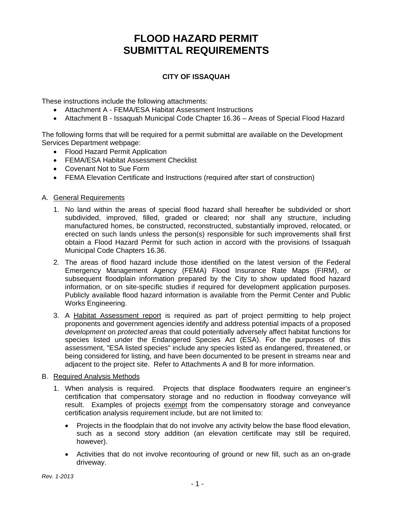# **FLOOD HAZARD PERMIT SUBMITTAL REQUIREMENTS**

# **CITY OF ISSAQUAH**

These instructions include the following attachments:

- Attachment A FEMA/ESA Habitat Assessment Instructions
- Attachment B Issaquah Municipal Code Chapter 16.36 Areas of Special Flood Hazard

The following forms that will be required for a permit submittal are available on the Development Services Department webpage:

- Flood Hazard Permit Application
- FEMA/ESA Habitat Assessment Checklist
- Covenant Not to Sue Form
- FEMA Elevation Certificate and Instructions (required after start of construction)

## A. General Requirements

- 1. No land within the areas of special flood hazard shall hereafter be subdivided or short subdivided, improved, filled, graded or cleared; nor shall any structure, including manufactured homes, be constructed, reconstructed, substantially improved, relocated, or erected on such lands unless the person(s) responsible for such improvements shall first obtain a Flood Hazard Permit for such action in accord with the provisions of Issaquah Municipal Code Chapters 16.36.
- 2. The areas of flood hazard include those identified on the latest version of the Federal Emergency Management Agency (FEMA) Flood Insurance Rate Maps (FIRM), or subsequent floodplain information prepared by the City to show updated flood hazard information, or on site-specific studies if required for development application purposes. Publicly available flood hazard information is available from the Permit Center and Public Works Engineering.
- 3. A Habitat Assessment report is required as part of project permitting to help project proponents and government agencies identify and address potential impacts of a proposed *development* on *protected areas* that could potentially adversely affect habitat functions for species listed under the Endangered Species Act (ESA). For the purposes of this assessment, "ESA listed species" include any species listed as endangered, threatened, or being considered for listing, and have been documented to be present in streams near and adjacent to the project site. Refer to Attachments A and B for more information.

#### B. Required Analysis Methods

- 1. When analysis is required. Projects that displace floodwaters require an engineer's certification that compensatory storage and no reduction in floodway conveyance will result. Examples of projects exempt from the compensatory storage and conveyance certification analysis requirement include, but are not limited to:
	- Projects in the floodplain that do not involve any activity below the base flood elevation, such as a second story addition (an elevation certificate may still be required, however).
	- Activities that do not involve recontouring of ground or new fill, such as an on-grade driveway.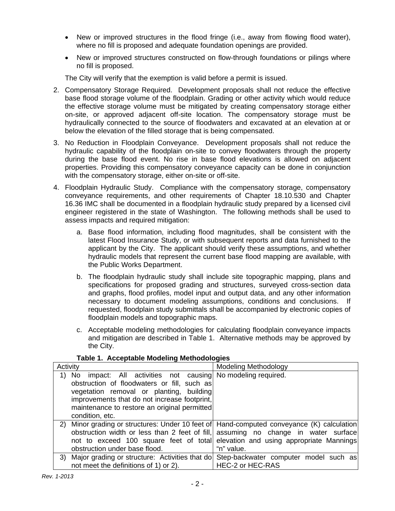- New or improved structures in the flood fringe (i.e., away from flowing flood water), where no fill is proposed and adequate foundation openings are provided.
- New or improved structures constructed on flow-through foundations or pilings where no fill is proposed.

The City will verify that the exemption is valid before a permit is issued.

- 2. Compensatory Storage Required. Development proposals shall not reduce the effective base flood storage volume of the floodplain. Grading or other activity which would reduce the effective storage volume must be mitigated by creating compensatory storage either on-site, or approved adjacent off-site location. The compensatory storage must be hydraulically connected to the source of floodwaters and excavated at an elevation at or below the elevation of the filled storage that is being compensated.
- 3. No Reduction in Floodplain Conveyance. Development proposals shall not reduce the hydraulic capability of the floodplain on-site to convey floodwaters through the property during the base flood event. No rise in base flood elevations is allowed on adjacent properties. Providing this compensatory conveyance capacity can be done in conjunction with the compensatory storage, either on-site or off-site.
- 4. Floodplain Hydraulic Study. Compliance with the compensatory storage, compensatory conveyance requirements, and other requirements of Chapter 18.10.530 and Chapter 16.36 IMC shall be documented in a floodplain hydraulic study prepared by a licensed civil engineer registered in the state of Washington. The following methods shall be used to assess impacts and required mitigation:
	- a. Base flood information, including flood magnitudes, shall be consistent with the latest Flood Insurance Study, or with subsequent reports and data furnished to the applicant by the City. The applicant should verify these assumptions, and whether hydraulic models that represent the current base flood mapping are available, with the Public Works Department.
	- b. The floodplain hydraulic study shall include site topographic mapping, plans and specifications for proposed grading and structures, surveyed cross-section data and graphs, flood profiles, model input and output data, and any other information necessary to document modeling assumptions, conditions and conclusions. If requested, floodplain study submittals shall be accompanied by electronic copies of floodplain models and topographic maps.
	- c. Acceptable modeling methodologies for calculating floodplain conveyance impacts and mitigation are described in Table 1. Alternative methods may be approved by the City.

| Activity                                                                                                                                                                                                                                                                           | <b>Modeling Methodology</b>                                                                                                                                                         |
|------------------------------------------------------------------------------------------------------------------------------------------------------------------------------------------------------------------------------------------------------------------------------------|-------------------------------------------------------------------------------------------------------------------------------------------------------------------------------------|
| impact: All activities not causing No modeling required.<br>1)<br>No<br>obstruction of floodwaters or fill, such as<br>vegetation removal or planting, building<br>improvements that do not increase footprint,<br>maintenance to restore an original permitted<br>condition, etc. |                                                                                                                                                                                     |
| 2) Minor grading or structures: Under 10 feet of Hand-computed conveyance (K) calculation<br>obstruction under base flood.                                                                                                                                                         | obstruction width or less than 2 feet of fill, assuming no change in water surface<br>not to exceed 100 square feet of total elevation and using appropriate Mannings<br>"n" value. |
| 3) Major grading or structure: Activities that do Step-backwater computer model such as<br>not meet the definitions of 1) or 2).                                                                                                                                                   | <b>HEC-2 or HEC-RAS</b>                                                                                                                                                             |

## **Table 1. Acceptable Modeling Methodologies**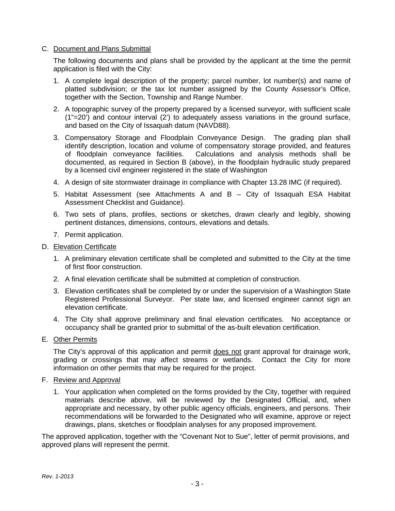## C. Document and Plans Submittal

The following documents and plans shall be provided by the applicant at the time the permit application is filed with the City:

- 1. A complete legal description of the property; parcel number, lot number(s) and name of platted subdivision; or the tax lot number assigned by the County Assessor's Office, together with the Section, Township and Range Number.
- 2. A topographic survey of the property prepared by a licensed surveyor, with sufficient scale (1"=20') and contour interval (2') to adequately assess variations in the ground surface, and based on the City of Issaquah datum (NAVD88).
- 3. Compensatory Storage and Floodplain Conveyance Design. The grading plan shall identify description, location and volume of compensatory storage provided, and features of floodplain conveyance facilities. Calculations and analysis methods shall be documented, as required in Section B (above), in the floodplain hydraulic study prepared by a licensed civil engineer registered in the state of Washington
- 4. A design of site stormwater drainage in compliance with Chapter 13.28 IMC (if required).
- 5. Habitat Assessment (see Attachments A and B City of Issaquah ESA Habitat Assessment Checklist and Guidance).
- 6. Two sets of plans, profiles, sections or sketches, drawn clearly and legibly, showing pertinent distances, dimensions, contours, elevations and details.
- 7. Permit application.

## D. Elevation Certificate

- 1. A preliminary elevation certificate shall be completed and submitted to the City at the time of first floor construction.
- 2. A final elevation certificate shall be submitted at completion of construction.
- 3. Elevation certificates shall be completed by or under the supervision of a Washington State Registered Professional Surveyor. Per state law, and licensed engineer cannot sign an elevation certificate.
- 4. The City shall approve preliminary and final elevation certificates. No acceptance or occupancy shall be granted prior to submittal of the as-built elevation certification.

#### E. Other Permits

The City's approval of this application and permit does not grant approval for drainage work, grading or crossings that may affect streams or wetlands. Contact the City for more information on other permits that may be required for the project.

#### F. Review and Approval

1. Your application when completed on the forms provided by the City, together with required materials describe above, will be reviewed by the Designated Official, and, when appropriate and necessary, by other public agency officials, engineers, and persons. Their recommendations will be forwarded to the Designated who will examine, approve or reject drawings, plans, sketches or floodplain analyses for any proposed improvement.

The approved application, together with the "Covenant Not to Sue", letter of permit provisions, and approved plans will represent the permit.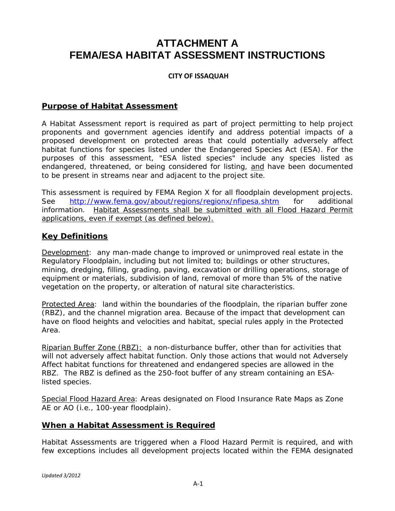# **ATTACHMENT A FEMA/ESA HABITAT ASSESSMENT INSTRUCTIONS**

# **CITY OF ISSAQUAH**

# **Purpose of Habitat Assessment**

A Habitat Assessment report is required as part of project permitting to help project proponents and government agencies identify and address potential impacts of a proposed *development* on *protected areas* that could potentially adversely affect habitat functions for species listed under the Endangered Species Act (ESA). For the purposes of this assessment, "ESA listed species" include any species listed as endangered, threatened, or being considered for listing, and have been documented to be present in streams near and adjacent to the project site.

This assessment is required by FEMA Region X for all floodplain development projects. See http://www.fema.gov/about/regions/regionx/nfipesa.shtm for additional information. Habitat Assessments shall be submitted with all Flood Hazard Permit applications, even if exempt (as defined below).

# **Key Definitions**

Development: any man-made change to improved or unimproved real estate in the Regulatory Floodplain, including but not limited to; buildings or other structures, mining, dredging, filling, grading, paving, excavation or drilling operations, storage of equipment or materials, subdivision of land, removal of more than 5% of the native vegetation on the property, or alteration of natural site characteristics.

Protected Area: land within the boundaries of the floodplain, the riparian buffer zone (RBZ), and the channel migration area. Because of the impact that development can have on flood heights and velocities and habitat, special rules apply in the Protected Area.

Riparian Buffer Zone (RBZ): a non-disturbance buffer, other than for activities that will not adversely affect habitat function. Only those actions that would not Adversely Affect habitat functions for threatened and endangered species are allowed in the RBZ. The RBZ is defined as the 250-foot buffer of any stream containing an ESAlisted species.

Special Flood Hazard Area: Areas designated on Flood Insurance Rate Maps as Zone AE or AO (i.e., 100-year floodplain).

# **When a Habitat Assessment is Required**

Habitat Assessments are triggered when a Flood Hazard Permit is required, and with few exceptions includes all development projects located within the FEMA designated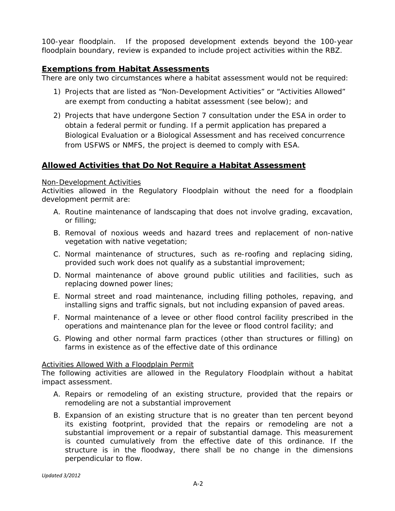100-year floodplain. If the proposed development extends beyond the 100-year floodplain boundary, review is expanded to include project activities within the RBZ.

# **Exemptions from Habitat Assessments**

There are only two circumstances where a habitat assessment would not be required:

- 1) Projects that are listed as "Non-Development Activities" or "Activities Allowed" are exempt from conducting a habitat assessment (see below); and
- 2) Projects that have undergone Section 7 consultation under the ESA in order to obtain a federal permit or funding. If a permit application has prepared a Biological Evaluation or a Biological Assessment and has received concurrence from USFWS or NMFS, the project is deemed to comply with ESA.

# **Allowed Activities that Do Not Require a Habitat Assessment**

## Non-Development Activities

Activities allowed in the Regulatory Floodplain without the need for a floodplain development permit are:

- A. Routine maintenance of landscaping that does not involve grading, excavation, or filling;
- B. Removal of noxious weeds and hazard trees and replacement of non-native vegetation with native vegetation;
- C. Normal maintenance of structures, such as re-roofing and replacing siding, provided such work does not qualify as a substantial improvement;
- D. Normal maintenance of above ground public utilities and facilities, such as replacing downed power lines;
- E. Normal street and road maintenance, including filling potholes, repaving, and installing signs and traffic signals, but not including expansion of paved areas.
- F. Normal maintenance of a levee or other flood control facility prescribed in the operations and maintenance plan for the levee or flood control facility; and
- G. Plowing and other normal farm practices (other than structures or filling) on farms in existence as of the effective date of this ordinance

## **Activities Allowed With a Floodplain Permit**

The following activities are allowed in the Regulatory Floodplain without a habitat impact assessment.

- A. Repairs or remodeling of an existing structure, provided that the repairs or remodeling are not a substantial improvement
- B. Expansion of an existing structure that is no greater than ten percent beyond its existing footprint, provided that the repairs or remodeling are not a substantial improvement or a repair of substantial damage. This measurement is counted cumulatively from the effective date of this ordinance. If the structure is in the floodway, there shall be no change in the dimensions perpendicular to flow.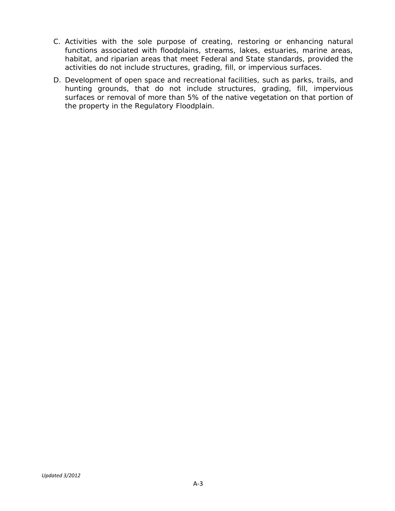- C. Activities with the sole purpose of creating, restoring or enhancing natural functions associated with floodplains, streams, lakes, estuaries, marine areas, habitat, and riparian areas that meet Federal and State standards, provided the activities do not include structures, grading, fill, or impervious surfaces.
- D. Development of open space and recreational facilities, such as parks, trails, and hunting grounds, that do not include structures, grading, fill, impervious surfaces or removal of more than 5% of the native vegetation on that portion of the property in the Regulatory Floodplain.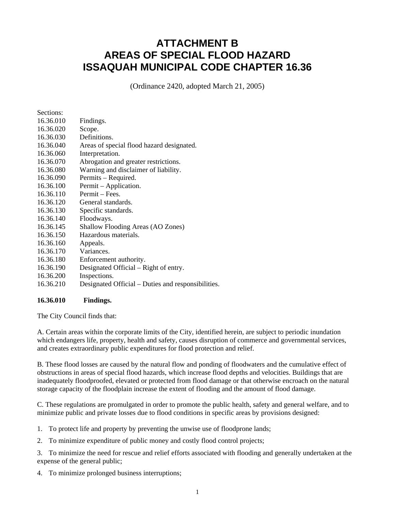# **ATTACHMENT B AREAS OF SPECIAL FLOOD HAZARD ISSAQUAH MUNICIPAL CODE CHAPTER 16.36**

(Ordinance 2420, adopted March 21, 2005)

| Sections: |                                                    |
|-----------|----------------------------------------------------|
| 16.36.010 | Findings.                                          |
| 16.36.020 | Scope.                                             |
| 16.36.030 | Definitions.                                       |
| 16.36.040 | Areas of special flood hazard designated.          |
| 16.36.060 | Interpretation.                                    |
| 16.36.070 | Abrogation and greater restrictions.               |
| 16.36.080 | Warning and disclaimer of liability.               |
| 16.36.090 | Permits – Required.                                |
| 16.36.100 | Permit – Application.                              |
| 16.36.110 | Permit - Fees.                                     |
| 16.36.120 | General standards.                                 |
| 16.36.130 | Specific standards.                                |
| 16.36.140 | Floodways.                                         |
| 16.36.145 | Shallow Flooding Areas (AO Zones)                  |
| 16.36.150 | Hazardous materials.                               |
| 16.36.160 | Appeals.                                           |
| 16.36.170 | Variances.                                         |
| 16.36.180 | Enforcement authority.                             |
| 16.36.190 | Designated Official – Right of entry.              |
| 16.36.200 | Inspections.                                       |
| 16.36.210 | Designated Official – Duties and responsibilities. |

#### **16.36.010 Findings.**

The City Council finds that:

A. Certain areas within the corporate limits of the City, identified herein, are subject to periodic inundation which endangers life, property, health and safety, causes disruption of commerce and governmental services, and creates extraordinary public expenditures for flood protection and relief.

B. These flood losses are caused by the natural flow and ponding of floodwaters and the cumulative effect of obstructions in areas of special flood hazards, which increase flood depths and velocities. Buildings that are inadequately floodproofed, elevated or protected from flood damage or that otherwise encroach on the natural storage capacity of the floodplain increase the extent of flooding and the amount of flood damage.

C. These regulations are promulgated in order to promote the public health, safety and general welfare, and to minimize public and private losses due to flood conditions in specific areas by provisions designed:

1. To protect life and property by preventing the unwise use of floodprone lands;

2. To minimize expenditure of public money and costly flood control projects;

3. To minimize the need for rescue and relief efforts associated with flooding and generally undertaken at the expense of the general public;

4. To minimize prolonged business interruptions;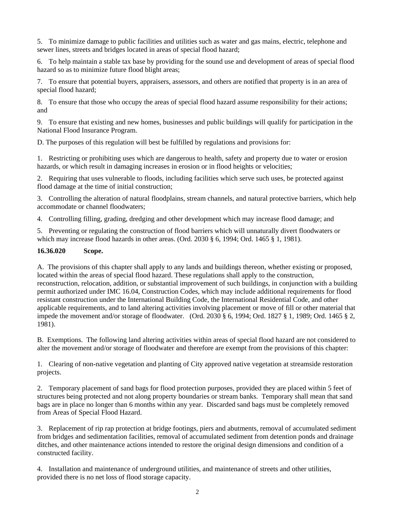5. To minimize damage to public facilities and utilities such as water and gas mains, electric, telephone and sewer lines, streets and bridges located in areas of special flood hazard;

6. To help maintain a stable tax base by providing for the sound use and development of areas of special flood hazard so as to minimize future flood blight areas;

7. To ensure that potential buyers, appraisers, assessors, and others are notified that property is in an area of special flood hazard;

8. To ensure that those who occupy the areas of special flood hazard assume responsibility for their actions; and

9. To ensure that existing and new homes, businesses and public buildings will qualify for participation in the National Flood Insurance Program.

D. The purposes of this regulation will best be fulfilled by regulations and provisions for:

1. Restricting or prohibiting uses which are dangerous to health, safety and property due to water or erosion hazards, or which result in damaging increases in erosion or in flood heights or velocities;

2. Requiring that uses vulnerable to floods, including facilities which serve such uses, be protected against flood damage at the time of initial construction;

3. Controlling the alteration of natural floodplains, stream channels, and natural protective barriers, which help accommodate or channel floodwaters;

4. Controlling filling, grading, dredging and other development which may increase flood damage; and

5. Preventing or regulating the construction of flood barriers which will unnaturally divert floodwaters or which may increase flood hazards in other areas. (Ord. 2030 § 6, 1994; Ord. 1465 § 1, 1981).

# **16.36.020 Scope.**

A. The provisions of this chapter shall apply to any lands and buildings thereon, whether existing or proposed, located within the areas of special flood hazard. These regulations shall apply to the construction, reconstruction, relocation, addition, or substantial improvement of such buildings, in conjunction with a building permit authorized under IMC 16.04, Construction Codes, which may include additional requirements for flood resistant construction under the International Building Code, the International Residential Code, and other applicable requirements, and to land altering activities involving placement or move of fill or other material that impede the movement and/or storage of floodwater. (Ord. 2030 § 6, 1994; Ord. 1827 § 1, 1989; Ord. 1465 § 2, 1981).

B. Exemptions. The following land altering activities within areas of special flood hazard are not considered to alter the movement and/or storage of floodwater and therefore are exempt from the provisions of this chapter:

1. Clearing of non-native vegetation and planting of City approved native vegetation at streamside restoration projects.

2. Temporary placement of sand bags for flood protection purposes, provided they are placed within 5 feet of structures being protected and not along property boundaries or stream banks. Temporary shall mean that sand bags are in place no longer than 6 months within any year. Discarded sand bags must be completely removed from Areas of Special Flood Hazard.

3. Replacement of rip rap protection at bridge footings, piers and abutments, removal of accumulated sediment from bridges and sedimentation facilities, removal of accumulated sediment from detention ponds and drainage ditches, and other maintenance actions intended to restore the original design dimensions and condition of a constructed facility.

4. Installation and maintenance of underground utilities, and maintenance of streets and other utilities, provided there is no net loss of flood storage capacity.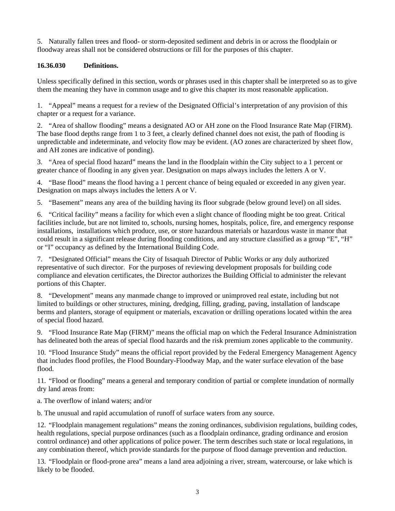5. Naturally fallen trees and flood- or storm-deposited sediment and debris in or across the floodplain or floodway areas shall not be considered obstructions or fill for the purposes of this chapter.

# **16.36.030 Definitions.**

Unless specifically defined in this section, words or phrases used in this chapter shall be interpreted so as to give them the meaning they have in common usage and to give this chapter its most reasonable application.

1. "Appeal" means a request for a review of the Designated Official's interpretation of any provision of this chapter or a request for a variance.

2. "Area of shallow flooding" means a designated AO or AH zone on the Flood Insurance Rate Map (FIRM). The base flood depths range from 1 to 3 feet, a clearly defined channel does not exist, the path of flooding is unpredictable and indeterminate, and velocity flow may be evident. (AO zones are characterized by sheet flow, and AH zones are indicative of ponding).

3. "Area of special flood hazard" means the land in the floodplain within the City subject to a 1 percent or greater chance of flooding in any given year. Designation on maps always includes the letters A or V.

4. "Base flood" means the flood having a 1 percent chance of being equaled or exceeded in any given year. Designation on maps always includes the letters A or V.

5. "Basement" means any area of the building having its floor subgrade (below ground level) on all sides.

6. "Critical facility" means a facility for which even a slight chance of flooding might be too great. Critical facilities include, but are not limited to, schools, nursing homes, hospitals, police, fire, and emergency response installations, installations which produce, use, or store hazardous materials or hazardous waste in manor that could result in a significant release during flooding conditions, and any structure classified as a group "E", "H" or "I" occupancy as defined by the International Building Code.

7. "Designated Official" means the City of Issaquah Director of Public Works or any duly authorized representative of such director. For the purposes of reviewing development proposals for building code compliance and elevation certificates, the Director authorizes the Building Official to administer the relevant portions of this Chapter.

8. "Development" means any manmade change to improved or unimproved real estate, including but not limited to buildings or other structures, mining, dredging, filling, grading, paving, installation of landscape berms and planters, storage of equipment or materials, excavation or drilling operations located within the area of special flood hazard.

9. "Flood Insurance Rate Map (FIRM)" means the official map on which the Federal Insurance Administration has delineated both the areas of special flood hazards and the risk premium zones applicable to the community.

10. "Flood Insurance Study" means the official report provided by the Federal Emergency Management Agency that includes flood profiles, the Flood Boundary-Floodway Map, and the water surface elevation of the base flood.

11. "Flood or flooding" means a general and temporary condition of partial or complete inundation of normally dry land areas from:

a. The overflow of inland waters; and/or

b. The unusual and rapid accumulation of runoff of surface waters from any source.

12. "Floodplain management regulations" means the zoning ordinances, subdivision regulations, building codes, health regulations, special purpose ordinances (such as a floodplain ordinance, grading ordinance and erosion control ordinance) and other applications of police power. The term describes such state or local regulations, in any combination thereof, which provide standards for the purpose of flood damage prevention and reduction.

13. "Floodplain or flood-prone area" means a land area adjoining a river, stream, watercourse, or lake which is likely to be flooded.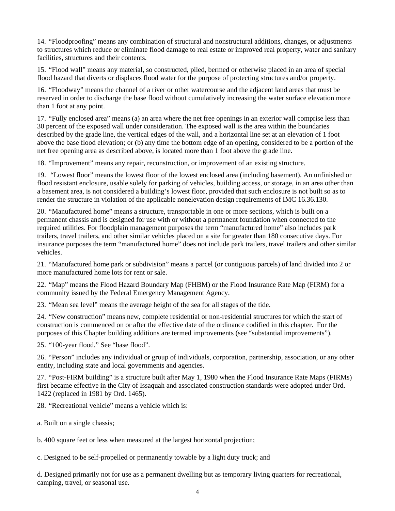14. "Floodproofing" means any combination of structural and nonstructural additions, changes, or adjustments to structures which reduce or eliminate flood damage to real estate or improved real property, water and sanitary facilities, structures and their contents.

15. "Flood wall" means any material, so constructed, piled, bermed or otherwise placed in an area of special flood hazard that diverts or displaces flood water for the purpose of protecting structures and/or property.

16. "Floodway" means the channel of a river or other watercourse and the adjacent land areas that must be reserved in order to discharge the base flood without cumulatively increasing the water surface elevation more than 1 foot at any point.

17. "Fully enclosed area" means (a) an area where the net free openings in an exterior wall comprise less than 30 percent of the exposed wall under consideration. The exposed wall is the area within the boundaries described by the grade line, the vertical edges of the wall, and a horizontal line set at an elevation of 1 foot above the base flood elevation; or (b) any time the bottom edge of an opening, considered to be a portion of the net free opening area as described above, is located more than 1 foot above the grade line.

18. "Improvement" means any repair, reconstruction, or improvement of an existing structure.

19. "Lowest floor" means the lowest floor of the lowest enclosed area (including basement). An unfinished or flood resistant enclosure, usable solely for parking of vehicles, building access, or storage, in an area other than a basement area, is not considered a building's lowest floor, provided that such enclosure is not built so as to render the structure in violation of the applicable nonelevation design requirements of IMC 16.36.130.

20. "Manufactured home" means a structure, transportable in one or more sections, which is built on a permanent chassis and is designed for use with or without a permanent foundation when connected to the required utilities. For floodplain management purposes the term "manufactured home" also includes park trailers, travel trailers, and other similar vehicles placed on a site for greater than 180 consecutive days. For insurance purposes the term "manufactured home" does not include park trailers, travel trailers and other similar vehicles.

21. "Manufactured home park or subdivision" means a parcel (or contiguous parcels) of land divided into 2 or more manufactured home lots for rent or sale.

22. "Map" means the Flood Hazard Boundary Map (FHBM) or the Flood Insurance Rate Map (FIRM) for a community issued by the Federal Emergency Management Agency.

23. "Mean sea level" means the average height of the sea for all stages of the tide.

24. "New construction" means new, complete residential or non-residential structures for which the start of construction is commenced on or after the effective date of the ordinance codified in this chapter. For the purposes of this Chapter building additions are termed improvements (see "substantial improvements").

25. "100-year flood." See "base flood".

26. "Person" includes any individual or group of individuals, corporation, partnership, association, or any other entity, including state and local governments and agencies.

27. "Post-FIRM building" is a structure built after May 1, 1980 when the Flood Insurance Rate Maps (FIRMs) first became effective in the City of Issaquah and associated construction standards were adopted under Ord. 1422 (replaced in 1981 by Ord. 1465).

28. "Recreational vehicle" means a vehicle which is:

a. Built on a single chassis;

b. 400 square feet or less when measured at the largest horizontal projection;

c. Designed to be self-propelled or permanently towable by a light duty truck; and

d. Designed primarily not for use as a permanent dwelling but as temporary living quarters for recreational, camping, travel, or seasonal use.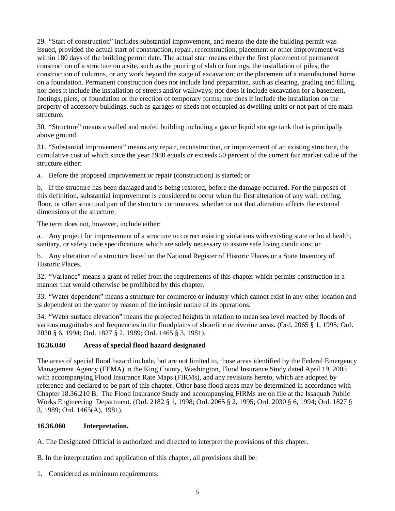29. "Start of construction" includes substantial improvement, and means the date the building permit was issued, provided the actual start of construction, repair, reconstruction, placement or other improvement was within 180 days of the building permit date. The actual start means either the first placement of permanent construction of a structure on a site, such as the pouring of slab or footings, the installation of piles, the construction of columns, or any work beyond the stage of excavation; or the placement of a manufactured home on a foundation. Permanent construction does not include land preparation, such as clearing, grading and filling, nor does it include the installation of streets and/or walkways; nor does it include excavation for a basement, footings, piers, or foundation or the erection of temporary forms; nor does it include the installation on the property of accessory buildings, such as garages or sheds not occupied as dwelling units or not part of the main structure.

30. "Structure" means a walled and roofed building including a gas or liquid storage tank that is principally above ground.

31. "Substantial improvement" means any repair, reconstruction, or improvement of an existing structure, the cumulative cost of which since the year 1980 equals or exceeds 50 percent of the current fair market value of the structure either:

a. Before the proposed improvement or repair (construction) is started; or

b. If the structure has been damaged and is being restored, before the damage occurred. For the purposes of this definition, substantial improvement is considered to occur when the first alteration of any wall, ceiling, floor, or other structural part of the structure commences, whether or not that alteration affects the external dimensions of the structure.

The term does not, however, include either:

a. Any project for improvement of a structure to correct existing violations with existing state or local health, sanitary, or safety code specifications which are solely necessary to assure safe living conditions; or

b. Any alteration of a structure listed on the National Register of Historic Places or a State Inventory of Historic Places.

32. "Variance" means a grant of relief from the requirements of this chapter which permits construction in a manner that would otherwise be prohibited by this chapter.

33. "Water dependent" means a structure for commerce or industry which cannot exist in any other location and is dependent on the water by reason of the intrinsic nature of its operations.

34. "Water surface elevation" means the projected heights in relation to mean sea level reached by floods of various magnitudes and frequencies in the floodplains of shoreline or riverine areas. (Ord. 2065 § 1, 1995; Ord. 2030 § 6, 1994; Ord. 1827 § 2, 1989; Ord. 1465 § 3, 1981).

## **16.36.040 Areas of special flood hazard designated**

The areas of special flood hazard include, but are not limited to, those areas identified by the Federal Emergency Management Agency (FEMA) in the King County, Washington, Flood Insurance Study dated April 19, 2005 with accompanying Flood Insurance Rate Maps (FIRMs), and any revisions hereto, which are adopted by reference and declared to be part of this chapter. Other base flood areas may be determined in accordance with Chapter 18.36.210 B.The Flood Insurance Study and accompanying FIRMs are on file at the Issaquah Public Works Engineering Department. (Ord. 2182 § 1, 1998; Ord. 2065 § 2, 1995; Ord. 2030 § 6, 1994; Ord. 1827 § 3, 1989; Ord. 1465(A), 1981).

#### **16.36.060 Interpretation.**

A. The Designated Official is authorized and directed to interpret the provisions of this chapter.

B. In the interpretation and application of this chapter, all provisions shall be:

1. Considered as minimum requirements;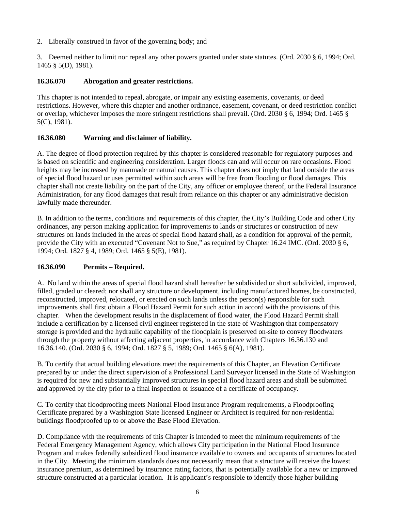2. Liberally construed in favor of the governing body; and

3. Deemed neither to limit nor repeal any other powers granted under state statutes. (Ord. 2030 § 6, 1994; Ord. 1465 § 5(D), 1981).

## **16.36.070 Abrogation and greater restrictions.**

This chapter is not intended to repeal, abrogate, or impair any existing easements, covenants, or deed restrictions. However, where this chapter and another ordinance, easement, covenant, or deed restriction conflict or overlap, whichever imposes the more stringent restrictions shall prevail. (Ord. 2030 § 6, 1994; Ord. 1465 § 5(C), 1981).

## **16.36.080 Warning and disclaimer of liability.**

A. The degree of flood protection required by this chapter is considered reasonable for regulatory purposes and is based on scientific and engineering consideration. Larger floods can and will occur on rare occasions. Flood heights may be increased by manmade or natural causes. This chapter does not imply that land outside the areas of special flood hazard or uses permitted within such areas will be free from flooding or flood damages. This chapter shall not create liability on the part of the City, any officer or employee thereof, or the Federal Insurance Administration, for any flood damages that result from reliance on this chapter or any administrative decision lawfully made thereunder.

B. In addition to the terms, conditions and requirements of this chapter, the City's Building Code and other City ordinances, any person making application for improvements to lands or structures or construction of new structures on lands included in the areas of special flood hazard shall, as a condition for approval of the permit, provide the City with an executed "Covenant Not to Sue," as required by Chapter 16.24 IMC. (Ord. 2030 § 6, 1994; Ord. 1827 § 4, 1989; Ord. 1465 § 5(E), 1981).

## **16.36.090 Permits – Required.**

A. No land within the areas of special flood hazard shall hereafter be subdivided or short subdivided, improved, filled, graded or cleared; nor shall any structure or development, including manufactured homes, be constructed, reconstructed, improved, relocated, or erected on such lands unless the person(s) responsible for such improvements shall first obtain a Flood Hazard Permit for such action in accord with the provisions of this chapter. When the development results in the displacement of flood water, the Flood Hazard Permit shall include a certification by a licensed civil engineer registered in the state of Washington that compensatory storage is provided and the hydraulic capability of the floodplain is preserved on-site to convey floodwaters through the property without affecting adjacent properties, in accordance with Chapters 16.36.130 and 16.36.140. (Ord. 2030 § 6, 1994; Ord. 1827 § 5, 1989; Ord. 1465 § 6(A), 1981).

B. To certify that actual building elevations meet the requirements of this Chapter, an Elevation Certificate prepared by or under the direct supervision of a Professional Land Surveyor licensed in the State of Washington is required for new and substantially improved structures in special flood hazard areas and shall be submitted and approved by the city prior to a final inspection or issuance of a certificate of occupancy.

C. To certify that floodproofing meets National Flood Insurance Program requirements, a Floodproofing Certificate prepared by a Washington State licensed Engineer or Architect is required for non-residential buildings floodproofed up to or above the Base Flood Elevation.

D. Compliance with the requirements of this Chapter is intended to meet the minimum requirements of the Federal Emergency Management Agency, which allows City participation in the National Flood Insurance Program and makes federally subsidized flood insurance available to owners and occupants of structures located in the City. Meeting the minimum standards does not necessarily mean that a structure will receive the lowest insurance premium, as determined by insurance rating factors, that is potentially available for a new or improved structure constructed at a particular location. It is applicant's responsible to identify those higher building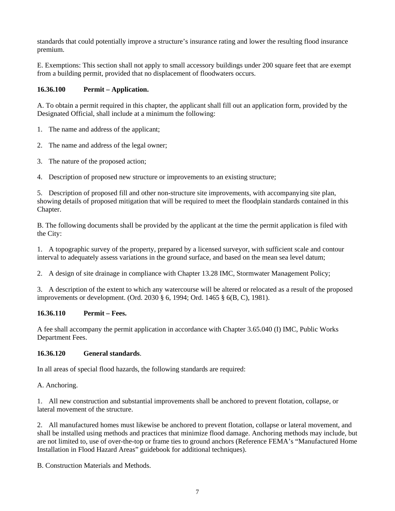standards that could potentially improve a structure's insurance rating and lower the resulting flood insurance premium.

E. Exemptions: This section shall not apply to small accessory buildings under 200 square feet that are exempt from a building permit, provided that no displacement of floodwaters occurs.

# **16.36.100 Permit – Application.**

A. To obtain a permit required in this chapter, the applicant shall fill out an application form, provided by the Designated Official, shall include at a minimum the following:

- 1. The name and address of the applicant;
- 2. The name and address of the legal owner;
- 3. The nature of the proposed action;
- 4. Description of proposed new structure or improvements to an existing structure;

5. Description of proposed fill and other non-structure site improvements, with accompanying site plan, showing details of proposed mitigation that will be required to meet the floodplain standards contained in this Chapter.

B. The following documents shall be provided by the applicant at the time the permit application is filed with the City:

1. A topographic survey of the property, prepared by a licensed surveyor, with sufficient scale and contour interval to adequately assess variations in the ground surface, and based on the mean sea level datum;

2. A design of site drainage in compliance with Chapter 13.28 IMC, Stormwater Management Policy;

3. A description of the extent to which any watercourse will be altered or relocated as a result of the proposed improvements or development. (Ord. 2030 § 6, 1994; Ord. 1465 § 6(B, C), 1981).

## **16.36.110 Permit – Fees.**

A fee shall accompany the permit application in accordance with Chapter 3.65.040 (I) IMC, Public Works Department Fees.

## **16.36.120 General standards**.

In all areas of special flood hazards, the following standards are required:

A. Anchoring.

1. All new construction and substantial improvements shall be anchored to prevent flotation, collapse, or lateral movement of the structure.

2. All manufactured homes must likewise be anchored to prevent flotation, collapse or lateral movement, and shall be installed using methods and practices that minimize flood damage. Anchoring methods may include, but are not limited to, use of over-the-top or frame ties to ground anchors (Reference FEMA's "Manufactured Home Installation in Flood Hazard Areas" guidebook for additional techniques).

B. Construction Materials and Methods.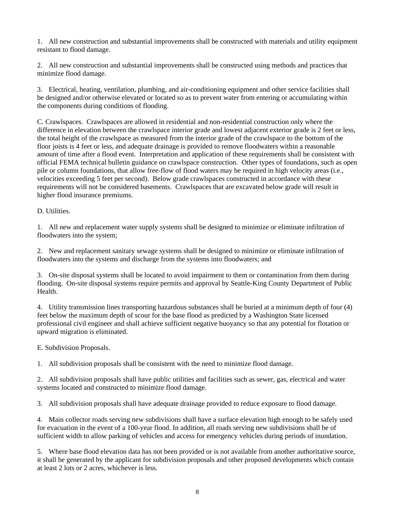1. All new construction and substantial improvements shall be constructed with materials and utility equipment resistant to flood damage.

2. All new construction and substantial improvements shall be constructed using methods and practices that minimize flood damage.

3. Electrical, heating, ventilation, plumbing, and air-conditioning equipment and other service facilities shall be designed and/or otherwise elevated or located so as to prevent water from entering or accumulating within the components during conditions of flooding.

C. Crawlspaces. Crawlspaces are allowed in residential and non-residential construction only where the difference in elevation between the crawlspace interior grade and lowest adjacent exterior grade is 2 feet or less, the total height of the crawlspace as measured from the interior grade of the crawlspace to the bottom of the floor joists is 4 feet or less, and adequate drainage is provided to remove floodwaters within a reasonable amount of time after a flood event. Interpretation and application of these requirements shall be consistent with official FEMA technical bulletin guidance on crawlspace construction. Other types of foundations, such as open pile or column foundations, that allow free-flow of flood waters may be required in high velocity areas (i.e., velocities exceeding 5 feet per second). Below grade crawlspaces constructed in accordance with these requirements will not be considered basements. Crawlspaces that are excavated below grade will result in higher flood insurance premiums.

## D. Utilities.

1. All new and replacement water supply systems shall be designed to minimize or eliminate infiltration of floodwaters into the system;

2. New and replacement sanitary sewage systems shall be designed to minimize or eliminate infiltration of floodwaters into the systems and discharge from the systems into floodwaters; and

3. On-site disposal systems shall be located to avoid impairment to them or contamination from them during flooding. On-site disposal systems require permits and approval by Seattle-King County Department of Public Health.

4. Utility transmission lines transporting hazardous substances shall be buried at a minimum depth of four (4) feet below the maximum depth of scour for the base flood as predicted by a Washington State licensed professional civil engineer and shall achieve sufficient negative buoyancy so that any potential for flotation or upward migration is eliminated.

#### E. Subdivision Proposals.

1. All subdivision proposals shall be consistent with the need to minimize flood damage.

2. All subdivision proposals shall have public utilities and facilities such as sewer, gas, electrical and water systems located and constructed to minimize flood damage.

3. All subdivision proposals shall have adequate drainage provided to reduce exposure to flood damage.

4. Main collector roads serving new subdivisions shall have a surface elevation high enough to be safely used for evacuation in the event of a 100-year flood. In addition, all roads serving new subdivisions shall be of sufficient width to allow parking of vehicles and access for emergency vehicles during periods of inundation.

5. Where base flood elevation data has not been provided or is not available from another authoritative source, it shall be generated by the applicant for subdivision proposals and other proposed developments which contain at least 2 lots or 2 acres, whichever is less.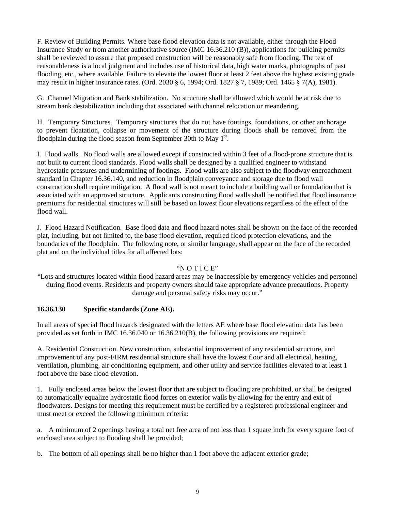F. Review of Building Permits. Where base flood elevation data is not available, either through the Flood Insurance Study or from another authoritative source (IMC 16.36.210 (B)), applications for building permits shall be reviewed to assure that proposed construction will be reasonably safe from flooding. The test of reasonableness is a local judgment and includes use of historical data, high water marks, photographs of past flooding, etc., where available. Failure to elevate the lowest floor at least 2 feet above the highest existing grade may result in higher insurance rates. (Ord. 2030 § 6, 1994; Ord. 1827 § 7, 1989; Ord. 1465 § 7(A), 1981).

G. Channel Migration and Bank stabilization. No structure shall be allowed which would be at risk due to stream bank destabilization including that associated with channel relocation or meandering.

H. Temporary Structures. Temporary structures that do not have footings, foundations, or other anchorage to prevent floatation, collapse or movement of the structure during floods shall be removed from the floodplain during the flood season from September 30th to May  $1<sup>st</sup>$ .

I. Flood walls. No flood walls are allowed except if constructed within 3 feet of a flood-prone structure that is not built to current flood standards. Flood walls shall be designed by a qualified engineer to withstand hydrostatic pressures and undermining of footings. Flood walls are also subject to the floodway encroachment standard in Chapter 16.36.140, and reduction in floodplain conveyance and storage due to flood wall construction shall require mitigation. A flood wall is not meant to include a building wall or foundation that is associated with an approved structure. Applicants constructing flood walls shall be notified that flood insurance premiums for residential structures will still be based on lowest floor elevations regardless of the effect of the flood wall.

J. Flood Hazard Notification. Base flood data and flood hazard notes shall be shown on the face of the recorded plat, including, but not limited to, the base flood elevation, required flood protection elevations, and the boundaries of the floodplain. The following note, or similar language, shall appear on the face of the recorded plat and on the individual titles for all affected lots:

#### "N O T I C E"

"Lots and structures located within flood hazard areas may be inaccessible by emergency vehicles and personnel during flood events. Residents and property owners should take appropriate advance precautions. Property damage and personal safety risks may occur."

#### **16.36.130 Specific standards (Zone AE).**

In all areas of special flood hazards designated with the letters AE where base flood elevation data has been provided as set forth in IMC 16.36.040 or 16.36.210(B), the following provisions are required:

A. Residential Construction. New construction, substantial improvement of any residential structure, and improvement of any post-FIRM residential structure shall have the lowest floor and all electrical, heating, ventilation, plumbing, air conditioning equipment, and other utility and service facilities elevated to at least 1 foot above the base flood elevation.

1. Fully enclosed areas below the lowest floor that are subject to flooding are prohibited, or shall be designed to automatically equalize hydrostatic flood forces on exterior walls by allowing for the entry and exit of floodwaters. Designs for meeting this requirement must be certified by a registered professional engineer and must meet or exceed the following minimum criteria:

a. A minimum of 2 openings having a total net free area of not less than 1 square inch for every square foot of enclosed area subject to flooding shall be provided;

b. The bottom of all openings shall be no higher than 1 foot above the adjacent exterior grade;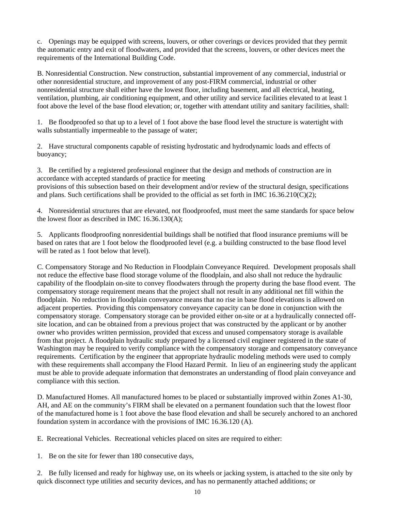c. Openings may be equipped with screens, louvers, or other coverings or devices provided that they permit the automatic entry and exit of floodwaters, and provided that the screens, louvers, or other devices meet the requirements of the International Building Code.

B. Nonresidential Construction. New construction, substantial improvement of any commercial, industrial or other nonresidential structure, and improvement of any post-FIRM commercial, industrial or other nonresidential structure shall either have the lowest floor, including basement, and all electrical, heating, ventilation, plumbing, air conditioning equipment, and other utility and service facilities elevated to at least 1 foot above the level of the base flood elevation; or, together with attendant utility and sanitary facilities, shall:

1. Be floodproofed so that up to a level of 1 foot above the base flood level the structure is watertight with walls substantially impermeable to the passage of water;

2. Have structural components capable of resisting hydrostatic and hydrodynamic loads and effects of buoyancy;

3. Be certified by a registered professional engineer that the design and methods of construction are in accordance with accepted standards of practice for meeting provisions of this subsection based on their development and/or review of the structural design, specifications and plans. Such certifications shall be provided to the official as set forth in IMC  $16.36.210(C)(2)$ ;

4. Nonresidential structures that are elevated, not floodproofed, must meet the same standards for space below the lowest floor as described in IMC 16.36.130(A);

5. Applicants floodproofing nonresidential buildings shall be notified that flood insurance premiums will be based on rates that are 1 foot below the floodproofed level (e.g. a building constructed to the base flood level will be rated as 1 foot below that level).

C. Compensatory Storage and No Reduction in Floodplain Conveyance Required. Development proposals shall not reduce the effective base flood storage volume of the floodplain, and also shall not reduce the hydraulic capability of the floodplain on-site to convey floodwaters through the property during the base flood event. The compensatory storage requirement means that the project shall not result in any additional net fill within the floodplain. No reduction in floodplain conveyance means that no rise in base flood elevations is allowed on adjacent properties. Providing this compensatory conveyance capacity can be done in conjunction with the compensatory storage. Compensatory storage can be provided either on-site or at a hydraulically connected offsite location, and can be obtained from a previous project that was constructed by the applicant or by another owner who provides written permission, provided that excess and unused compensatory storage is available from that project. A floodplain hydraulic study prepared by a licensed civil engineer registered in the state of Washington may be required to verify compliance with the compensatory storage and compensatory conveyance requirements. Certification by the engineer that appropriate hydraulic modeling methods were used to comply with these requirements shall accompany the Flood Hazard Permit. In lieu of an engineering study the applicant must be able to provide adequate information that demonstrates an understanding of flood plain conveyance and compliance with this section.

D. Manufactured Homes. All manufactured homes to be placed or substantially improved within Zones A1-30, AH, and AE on the community's FIRM shall be elevated on a permanent foundation such that the lowest floor of the manufactured home is 1 foot above the base flood elevation and shall be securely anchored to an anchored foundation system in accordance with the provisions of IMC 16.36.120 (A).

E. Recreational Vehicles. Recreational vehicles placed on sites are required to either:

1. Be on the site for fewer than 180 consecutive days,

2. Be fully licensed and ready for highway use, on its wheels or jacking system, is attached to the site only by quick disconnect type utilities and security devices, and has no permanently attached additions; or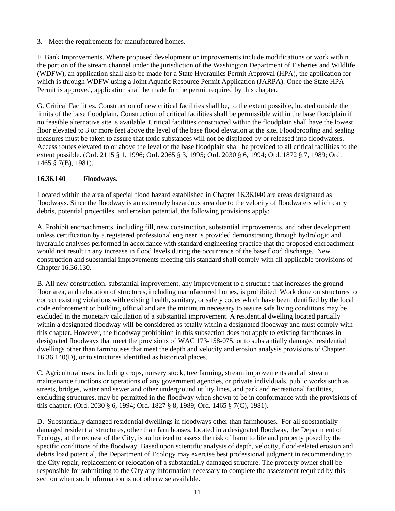3. Meet the requirements for manufactured homes.

F. Bank Improvements. Where proposed development or improvements include modifications or work within the portion of the stream channel under the jurisdiction of the Washington Department of Fisheries and Wildlife (WDFW), an application shall also be made for a State Hydraulics Permit Approval (HPA), the application for which is through WDFW using a Joint Aquatic Resource Permit Application (JARPA). Once the State HPA Permit is approved, application shall be made for the permit required by this chapter*.* 

G. Critical Facilities. Construction of new critical facilities shall be, to the extent possible, located outside the limits of the base floodplain. Construction of critical facilities shall be permissible within the base floodplain if no feasible alternative site is available. Critical facilities constructed within the floodplain shall have the lowest floor elevated to 3 or more feet above the level of the base flood elevation at the site. Floodproofing and sealing measures must be taken to assure that toxic substances will not be displaced by or released into floodwaters. Access routes elevated to or above the level of the base floodplain shall be provided to all critical facilities to the extent possible. (Ord. 2115 § 1, 1996; Ord. 2065 § 3, 1995; Ord. 2030 § 6, 1994; Ord. 1872 § 7, 1989; Ord. 1465 § 7(B), 1981).

## **16.36.140 Floodways.**

Located within the area of special flood hazard established in Chapter 16.36.040 are areas designated as floodways. Since the floodway is an extremely hazardous area due to the velocity of floodwaters which carry debris, potential projectiles, and erosion potential, the following provisions apply:

A. Prohibit encroachments, including fill, new construction, substantial improvements, and other development unless certification by a registered professional engineer is provided demonstrating through hydrologic and hydraulic analyses performed in accordance with standard engineering practice that the proposed encroachment would not result in any increase in flood levels during the occurrence of the base flood discharge. New construction and substantial improvements meeting this standard shall comply with all applicable provisions of Chapter 16.36.130.

B. All new construction, substantial improvement, any improvement to a structure that increases the ground floor area, and relocation of structures, including manufactured homes, is prohibited Work done on structures to correct existing violations with existing health, sanitary, or safety codes which have been identified by the local code enforcement or building official and are the minimum necessary to assure safe living conditions may be excluded in the monetary calculation of a substantial improvement. A residential dwelling located partially within a designated floodway will be considered as totally within a designated floodway and must comply with this chapter. However, the floodway prohibition in this subsection does not apply to existing farmhouses in designated floodways that meet the provisions of WAC 173-158-075, or to substantially damaged residential dwellings other than farmhouses that meet the depth and velocity and erosion analysis provisions of Chapter 16.36.140(D), or to structures identified as historical places.

C. Agricultural uses, including crops, nursery stock, tree farming, stream improvements and all stream maintenance functions or operations of any government agencies, or private individuals, public works such as streets, bridges, water and sewer and other underground utility lines, and park and recreational facilities, excluding structures, may be permitted in the floodway when shown to be in conformance with the provisions of this chapter. (Ord. 2030 § 6, 1994; Ord. 1827 § 8, 1989; Ord. 1465 § 7(C), 1981).

D**.** Substantially damaged residential dwellings in floodways other than farmhouses. For all substantially damaged residential structures, other than farmhouses, located in a designated floodway, the Department of Ecology, at the request of the City, is authorized to assess the risk of harm to life and property posed by the specific conditions of the floodway. Based upon scientific analysis of depth, velocity, flood-related erosion and debris load potential, the Department of Ecology may exercise best professional judgment in recommending to the City repair, replacement or relocation of a substantially damaged structure. The property owner shall be responsible for submitting to the City any information necessary to complete the assessment required by this section when such information is not otherwise available.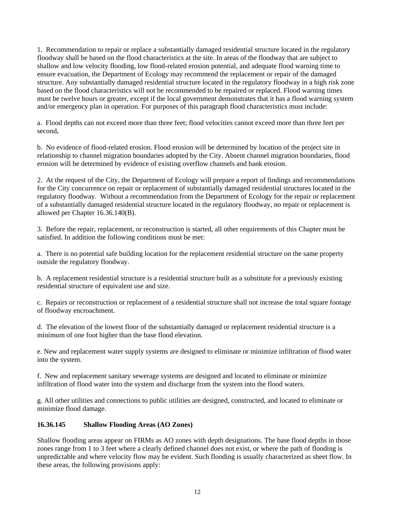1. Recommendation to repair or replace a substantially damaged residential structure located in the regulatory floodway shall be based on the flood characteristics at the site. In areas of the floodway that are subject to shallow and low velocity flooding, low flood-related erosion potential, and adequate flood warning time to ensure evacuation, the Department of Ecology may recommend the replacement or repair of the damaged structure. Any substantially damaged residential structure located in the regulatory floodway in a high risk zone based on the flood characteristics will not be recommended to be repaired or replaced. Flood warning times must be twelve hours or greater, except if the local government demonstrates that it has a flood warning system and/or emergency plan in operation. For purposes of this paragraph flood characteristics must include:

a. Flood depths can not exceed more than three feet; flood velocities cannot exceed more than three feet per second**.** 

b. No evidence of flood-related erosion. Flood erosion will be determined by location of the project site in relationship to channel migration boundaries adopted by the City. Absent channel migration boundaries, flood erosion will be determined by evidence of existing overflow channels and bank erosion.

2. At the request of the City, the Department of Ecology will prepare a report of findings and recommendations for the City concurrence on repair or replacement of substantially damaged residential structures located in the regulatory floodway. Without a recommendation from the Department of Ecology for the repair or replacement of a substantially damaged residential structure located in the regulatory floodway, no repair or replacement is allowed per Chapter 16.36.140(B).

3. Before the repair, replacement, or reconstruction is started, all other requirements of this Chapter must be satisfied. In addition the following conditions must be met:

a. There is no potential safe building location for the replacement residential structure on the same property outside the regulatory floodway.

b. A replacement residential structure is a residential structure built as a substitute for a previously existing residential structure of equivalent use and size.

c. Repairs or reconstruction or replacement of a residential structure shall not increase the total square footage of floodway encroachment.

d. The elevation of the lowest floor of the substantially damaged or replacement residential structure is a minimum of one foot higher than the base flood elevation.

e. New and replacement water supply systems are designed to eliminate or minimize infiltration of flood water into the system.

f. New and replacement sanitary sewerage systems are designed and located to eliminate or minimize infiltration of flood water into the system and discharge from the system into the flood waters.

g. All other utilities and connections to public utilities are designed, constructed, and located to eliminate or minimize flood damage.

#### **16.36.145 Shallow Flooding Areas (AO Zones)**

Shallow flooding areas appear on FIRMs as AO zones with depth designations. The base flood depths in those zones range from 1 to 3 feet where a clearly defined channel does not exist, or where the path of flooding is unpredictable and where velocity flow may be evident. Such flooding is usually characterized as sheet flow. In these areas, the following provisions apply: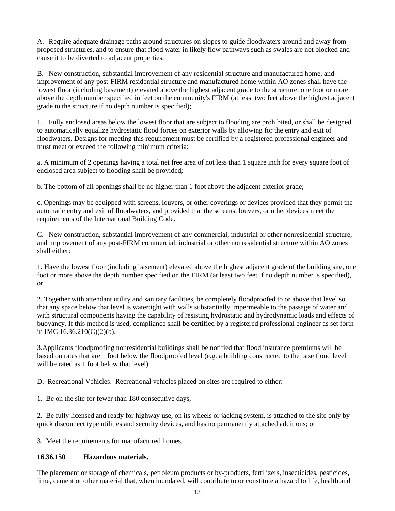A. Require adequate drainage paths around structures on slopes to guide floodwaters around and away from proposed structures, and to ensure that flood water in likely flow pathways such as swales are not blocked and cause it to be diverted to adjacent properties;

B. New construction, substantial improvement of any residential structure and manufactured home, and improvement of any post-FIRM residential structure and manufactured home within AO zones shall have the lowest floor (including basement) elevated above the highest adjacent grade to the structure, one foot or more above the depth number specified in feet on the community's FIRM (at least two feet above the highest adjacent grade to the structure if no depth number is specified);

1. Fully enclosed areas below the lowest floor that are subject to flooding are prohibited, or shall be designed to automatically equalize hydrostatic flood forces on exterior walls by allowing for the entry and exit of floodwaters. Designs for meeting this requirement must be certified by a registered professional engineer and must meet or exceed the following minimum criteria:

a. A minimum of 2 openings having a total net free area of not less than 1 square inch for every square foot of enclosed area subject to flooding shall be provided;

b. The bottom of all openings shall be no higher than 1 foot above the adjacent exterior grade;

c. Openings may be equipped with screens, louvers, or other coverings or devices provided that they permit the automatic entry and exit of floodwaters, and provided that the screens, louvers, or other devices meet the requirements of the International Building Code.

C. New construction, substantial improvement of any commercial, industrial or other nonresidential structure, and improvement of any post-FIRM commercial, industrial or other nonresidential structure within AO zones shall either:

1. Have the lowest floor (including basement) elevated above the highest adjacent grade of the building site, one foot or more above the depth number specified on the FIRM (at least two feet if no depth number is specified), or

2. Together with attendant utility and sanitary facilities, be completely floodproofed to or above that level so that any space below that level is watertight with walls substantially impermeable to the passage of water and with structural components having the capability of resisting hydrostatic and hydrodynamic loads and effects of buoyancy. If this method is used, compliance shall be certified by a registered professional engineer as set forth in IMC 16.36.210(C)(2)(b).

3.Applicants floodproofing nonresidential buildings shall be notified that flood insurance premiums will be based on rates that are 1 foot below the floodproofed level (e.g. a building constructed to the base flood level will be rated as 1 foot below that level).

D. Recreational Vehicles. Recreational vehicles placed on sites are required to either:

1. Be on the site for fewer than 180 consecutive days,

2. Be fully licensed and ready for highway use, on its wheels or jacking system, is attached to the site only by quick disconnect type utilities and security devices, and has no permanently attached additions; or

3. Meet the requirements for manufactured homes.

#### **16.36.150 Hazardous materials.**

The placement or storage of chemicals, petroleum products or by-products, fertilizers, insecticides, pesticides, lime, cement or other material that, when inundated, will contribute to or constitute a hazard to life, health and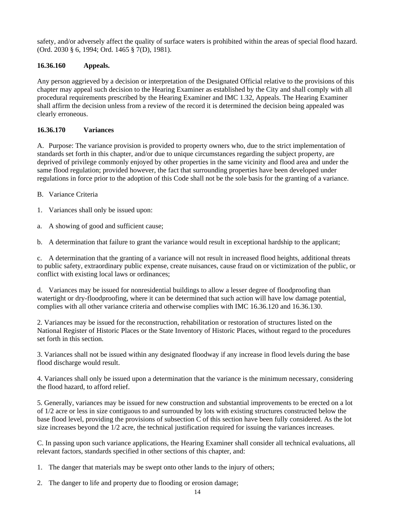safety, and/or adversely affect the quality of surface waters is prohibited within the areas of special flood hazard. (Ord. 2030 § 6, 1994; Ord. 1465 § 7(D), 1981).

# **16.36.160 Appeals.**

Any person aggrieved by a decision or interpretation of the Designated Official relative to the provisions of this chapter may appeal such decision to the Hearing Examiner as established by the City and shall comply with all procedural requirements prescribed by the Hearing Examiner and IMC 1.32, Appeals. The Hearing Examiner shall affirm the decision unless from a review of the record it is determined the decision being appealed was clearly erroneous.

# **16.36.170 Variances**

A. Purpose: The variance provision is provided to property owners who, due to the strict implementation of standards set forth in this chapter, and/or due to unique circumstances regarding the subject property, are deprived of privilege commonly enjoyed by other properties in the same vicinity and flood area and under the same flood regulation; provided however, the fact that surrounding properties have been developed under regulations in force prior to the adoption of this Code shall not be the sole basis for the granting of a variance.

- B. Variance Criteria
- 1. Variances shall only be issued upon:
- a. A showing of good and sufficient cause;

b. A determination that failure to grant the variance would result in exceptional hardship to the applicant;

c. A determination that the granting of a variance will not result in increased flood heights, additional threats to public safety, extraordinary public expense, create nuisances, cause fraud on or victimization of the public, or conflict with existing local laws or ordinances;

d. Variances may be issued for nonresidential buildings to allow a lesser degree of floodproofing than watertight or dry-floodproofing, where it can be determined that such action will have low damage potential, complies with all other variance criteria and otherwise complies with IMC 16.36.120 and 16.36.130.

2. Variances may be issued for the reconstruction, rehabilitation or restoration of structures listed on the National Register of Historic Places or the State Inventory of Historic Places, without regard to the procedures set forth in this section.

3. Variances shall not be issued within any designated floodway if any increase in flood levels during the base flood discharge would result.

4. Variances shall only be issued upon a determination that the variance is the minimum necessary, considering the flood hazard, to afford relief.

5. Generally, variances may be issued for new construction and substantial improvements to be erected on a lot of 1/2 acre or less in size contiguous to and surrounded by lots with existing structures constructed below the base flood level, providing the provisions of subsection C of this section have been fully considered. As the lot size increases beyond the 1/2 acre, the technical justification required for issuing the variances increases.

C. In passing upon such variance applications, the Hearing Examiner shall consider all technical evaluations, all relevant factors, standards specified in other sections of this chapter, and:

- 1. The danger that materials may be swept onto other lands to the injury of others;
- 2. The danger to life and property due to flooding or erosion damage;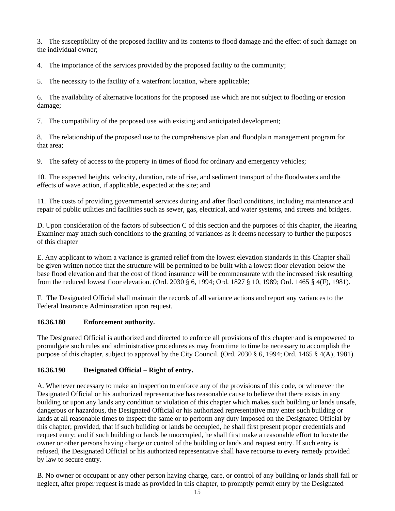3. The susceptibility of the proposed facility and its contents to flood damage and the effect of such damage on the individual owner;

4. The importance of the services provided by the proposed facility to the community;

5. The necessity to the facility of a waterfront location, where applicable;

6. The availability of alternative locations for the proposed use which are not subject to flooding or erosion damage;

7. The compatibility of the proposed use with existing and anticipated development;

8. The relationship of the proposed use to the comprehensive plan and floodplain management program for that area;

9. The safety of access to the property in times of flood for ordinary and emergency vehicles;

10. The expected heights, velocity, duration, rate of rise, and sediment transport of the floodwaters and the effects of wave action, if applicable, expected at the site; and

11. The costs of providing governmental services during and after flood conditions, including maintenance and repair of public utilities and facilities such as sewer, gas, electrical, and water systems, and streets and bridges.

D. Upon consideration of the factors of subsection C of this section and the purposes of this chapter, the Hearing Examiner may attach such conditions to the granting of variances as it deems necessary to further the purposes of this chapter

E. Any applicant to whom a variance is granted relief from the lowest elevation standards in this Chapter shall be given written notice that the structure will be permitted to be built with a lowest floor elevation below the base flood elevation and that the cost of flood insurance will be commensurate with the increased risk resulting from the reduced lowest floor elevation. (Ord. 2030 § 6, 1994; Ord. 1827 § 10, 1989; Ord. 1465 § 4(F), 1981).

F. The Designated Official shall maintain the records of all variance actions and report any variances to the Federal Insurance Administration upon request.

## **16.36.180 Enforcement authority.**

The Designated Official is authorized and directed to enforce all provisions of this chapter and is empowered to promulgate such rules and administrative procedures as may from time to time be necessary to accomplish the purpose of this chapter, subject to approval by the City Council. (Ord. 2030 § 6, 1994; Ord. 1465 § 4(A), 1981).

# **16.36.190 Designated Official – Right of entry.**

A. Whenever necessary to make an inspection to enforce any of the provisions of this code, or whenever the Designated Official or his authorized representative has reasonable cause to believe that there exists in any building or upon any lands any condition or violation of this chapter which makes such building or lands unsafe, dangerous or hazardous, the Designated Official or his authorized representative may enter such building or lands at all reasonable times to inspect the same or to perform any duty imposed on the Designated Official by this chapter; provided, that if such building or lands be occupied, he shall first present proper credentials and request entry; and if such building or lands be unoccupied, he shall first make a reasonable effort to locate the owner or other persons having charge or control of the building or lands and request entry. If such entry is refused, the Designated Official or his authorized representative shall have recourse to every remedy provided by law to secure entry.

B. No owner or occupant or any other person having charge, care, or control of any building or lands shall fail or neglect, after proper request is made as provided in this chapter, to promptly permit entry by the Designated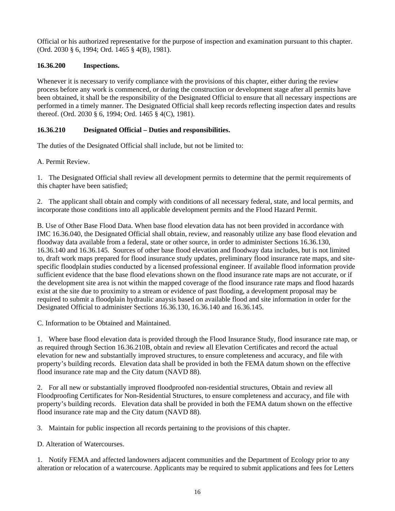Official or his authorized representative for the purpose of inspection and examination pursuant to this chapter. (Ord. 2030 § 6, 1994; Ord. 1465 § 4(B), 1981).

# **16.36.200 Inspections.**

Whenever it is necessary to verify compliance with the provisions of this chapter, either during the review process before any work is commenced, or during the construction or development stage after all permits have been obtained, it shall be the responsibility of the Designated Official to ensure that all necessary inspections are performed in a timely manner. The Designated Official shall keep records reflecting inspection dates and results thereof. (Ord. 2030 § 6, 1994; Ord. 1465 § 4(C), 1981).

# **16.36.210 Designated Official – Duties and responsibilities.**

The duties of the Designated Official shall include, but not be limited to:

A. Permit Review.

1. The Designated Official shall review all development permits to determine that the permit requirements of this chapter have been satisfied;

2. The applicant shall obtain and comply with conditions of all necessary federal, state, and local permits, and incorporate those conditions into all applicable development permits and the Flood Hazard Permit.

B. Use of Other Base Flood Data. When base flood elevation data has not been provided in accordance with IMC 16.36.040, the Designated Official shall obtain, review, and reasonably utilize any base flood elevation and floodway data available from a federal, state or other source, in order to administer Sections 16.36.130, 16.36.140 and 16.36.145. Sources of other base flood elevation and floodway data includes, but is not limited to, draft work maps prepared for flood insurance study updates, preliminary flood insurance rate maps, and sitespecific floodplain studies conducted by a licensed professional engineer. If available flood information provide sufficient evidence that the base flood elevations shown on the flood insurance rate maps are not accurate, or if the development site area is not within the mapped coverage of the flood insurance rate maps and flood hazards exist at the site due to proximity to a stream or evidence of past flooding, a development proposal may be required to submit a floodplain hydraulic anaysis based on available flood and site information in order for the Designated Official to administer Sections 16.36.130, 16.36.140 and 16.36.145.

C. Information to be Obtained and Maintained.

1. Where base flood elevation data is provided through the Flood Insurance Study, flood insurance rate map, or as required through Section 16.36.210B, obtain and review all Elevation Certificates and record the actual elevation for new and substantially improved structures, to ensure completeness and accuracy, and file with property's building records. Elevation data shall be provided in both the FEMA datum shown on the effective flood insurance rate map and the City datum (NAVD 88).

2. For all new or substantially improved floodproofed non-residential structures, Obtain and review all Floodproofing Certificates for Non-Residential Structures, to ensure completeness and accuracy, and file with property's building records. Elevation data shall be provided in both the FEMA datum shown on the effective flood insurance rate map and the City datum (NAVD 88).

3. Maintain for public inspection all records pertaining to the provisions of this chapter.

D. Alteration of Watercourses.

1. Notify FEMA and affected landowners adjacent communities and the Department of Ecology prior to any alteration or relocation of a watercourse. Applicants may be required to submit applications and fees for Letters